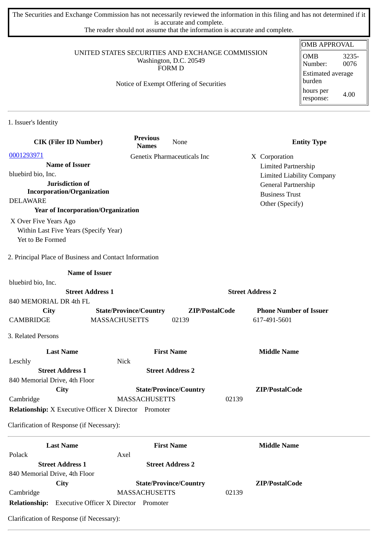The Securities and Exchange Commission has not necessarily reviewed the information in this filing and has not determined if it is accurate and complete.

The reader should not assume that the information is accurate and complete.

#### UNITED STATES SECURITIES AND EXCHANGE COMMISSION Washington, D.C. 20549 FORM D

### Notice of Exempt Offering of Securities

| <b>OMB APPROVAL</b>           |               |  |  |  |
|-------------------------------|---------------|--|--|--|
| <b>OMB</b><br>Number:         | 3235-<br>0076 |  |  |  |
| Estimated average<br>  burden |               |  |  |  |
| hours per<br>response:        | 4.00          |  |  |  |

1. Issuer's Identity

| <b>CIK (Filer ID Number)</b>                                 | <b>Previous</b><br><b>Names</b> | None                          | <b>Entity Type</b>               |  |
|--------------------------------------------------------------|---------------------------------|-------------------------------|----------------------------------|--|
| 0001293971                                                   |                                 | Genetix Pharmaceuticals Inc   | X Corporation                    |  |
| <b>Name of Issuer</b>                                        |                                 |                               | <b>Limited Partnership</b>       |  |
| bluebird bio, Inc.                                           |                                 |                               | <b>Limited Liability Company</b> |  |
| Jurisdiction of                                              |                                 |                               | General Partnership              |  |
| <b>Incorporation/Organization</b>                            |                                 |                               | <b>Business Trust</b>            |  |
| <b>DELAWARE</b>                                              |                                 |                               | Other (Specify)                  |  |
| <b>Year of Incorporation/Organization</b>                    |                                 |                               |                                  |  |
| X Over Five Years Ago                                        |                                 |                               |                                  |  |
| Within Last Five Years (Specify Year)                        |                                 |                               |                                  |  |
| Yet to Be Formed                                             |                                 |                               |                                  |  |
| 2. Principal Place of Business and Contact Information       |                                 |                               |                                  |  |
| <b>Name of Issuer</b>                                        |                                 |                               |                                  |  |
| bluebird bio, Inc.                                           |                                 |                               |                                  |  |
| <b>Street Address 1</b>                                      |                                 |                               | <b>Street Address 2</b>          |  |
| 840 MEMORIAL DR 4th FL                                       |                                 |                               |                                  |  |
| City                                                         | <b>State/Province/Country</b>   | ZIP/PostalCode                | <b>Phone Number of Issuer</b>    |  |
| <b>CAMBRIDGE</b>                                             | <b>MASSACHUSETTS</b>            | 02139                         | 617-491-5601                     |  |
| 3. Related Persons                                           |                                 |                               |                                  |  |
| <b>Last Name</b>                                             |                                 | <b>First Name</b>             | <b>Middle Name</b>               |  |
| Leschly                                                      | <b>Nick</b>                     |                               |                                  |  |
| <b>Street Address 1</b>                                      |                                 | <b>Street Address 2</b>       |                                  |  |
| 840 Memorial Drive, 4th Floor                                |                                 |                               |                                  |  |
| City                                                         |                                 | <b>State/Province/Country</b> | ZIP/PostalCode                   |  |
| Cambridge                                                    | <b>MASSACHUSETTS</b>            |                               | 02139                            |  |
| <b>Relationship:</b> X Executive Officer X Director Promoter |                                 |                               |                                  |  |
| Clarification of Response (if Necessary):                    |                                 |                               |                                  |  |
| <b>Last Name</b>                                             |                                 | <b>First Name</b>             | <b>Middle Name</b>               |  |
| Polack                                                       | Axel                            |                               |                                  |  |
| <b>Street Address 1</b>                                      |                                 | <b>Street Address 2</b>       |                                  |  |
| 840 Memorial Drive, 4th Floor                                |                                 |                               |                                  |  |
| <b>City</b>                                                  |                                 | <b>State/Province/Country</b> | ZIP/PostalCode                   |  |
| Cambridge                                                    | <b>MASSACHUSETTS</b>            |                               | 02139                            |  |
| <b>Relationship:</b> Executive Officer X Director Promoter   |                                 |                               |                                  |  |

Clarification of Response (if Necessary):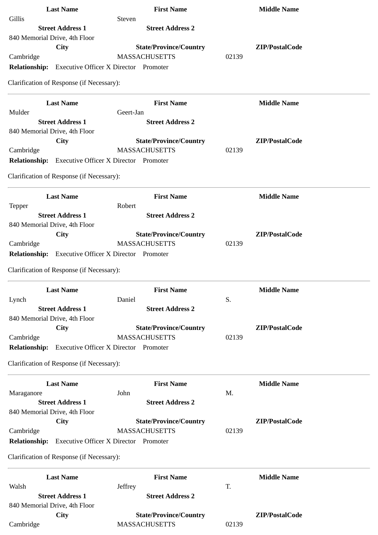| <b>Last Name</b>                                           | <b>First Name</b>                            | <b>Middle Name</b> |
|------------------------------------------------------------|----------------------------------------------|--------------------|
| Gillis                                                     | Steven                                       |                    |
| <b>Street Address 1</b>                                    | <b>Street Address 2</b>                      |                    |
| 840 Memorial Drive, 4th Floor                              |                                              |                    |
| City                                                       | <b>State/Province/Country</b>                | ZIP/PostalCode     |
| Cambridge                                                  | <b>MASSACHUSETTS</b>                         | 02139              |
| <b>Relationship:</b>                                       | <b>Executive Officer X Director Promoter</b> |                    |
| Clarification of Response (if Necessary):                  |                                              |                    |
| <b>Last Name</b>                                           | <b>First Name</b>                            | <b>Middle Name</b> |
| Mulder                                                     | Geert-Jan                                    |                    |
| <b>Street Address 1</b>                                    | <b>Street Address 2</b>                      |                    |
| 840 Memorial Drive, 4th Floor                              | <b>State/Province/Country</b>                | ZIP/PostalCode     |
| City<br>Cambridge                                          | <b>MASSACHUSETTS</b>                         | 02139              |
| <b>Relationship:</b> Executive Officer X Director Promoter |                                              |                    |
|                                                            |                                              |                    |
| Clarification of Response (if Necessary):                  |                                              |                    |
| <b>Last Name</b>                                           | <b>First Name</b>                            | <b>Middle Name</b> |
| <b>Tepper</b>                                              | Robert                                       |                    |
| <b>Street Address 1</b>                                    | <b>Street Address 2</b>                      |                    |
| 840 Memorial Drive, 4th Floor                              |                                              |                    |
| City                                                       | <b>State/Province/Country</b>                | ZIP/PostalCode     |
| Cambridge                                                  | <b>MASSACHUSETTS</b>                         | 02139              |
| <b>Relationship:</b>                                       | <b>Executive Officer X Director Promoter</b> |                    |
| Clarification of Response (if Necessary):                  |                                              |                    |
| <b>Last Name</b>                                           | <b>First Name</b>                            | <b>Middle Name</b> |
| Lynch                                                      | Daniel                                       | S.                 |
| <b>Street Address 1</b>                                    | <b>Street Address 2</b>                      |                    |
| 840 Memorial Drive, 4th Floor                              |                                              |                    |
| City                                                       | <b>State/Province/Country</b>                | ZIP/PostalCode     |
| Cambridge                                                  | <b>MASSACHUSETTS</b>                         | 02139              |
| <b>Relationship:</b>                                       | <b>Executive Officer X Director Promoter</b> |                    |
| Clarification of Response (if Necessary):                  |                                              |                    |
|                                                            |                                              |                    |
| <b>Last Name</b>                                           | <b>First Name</b>                            | <b>Middle Name</b> |
| Maraganore                                                 | John                                         | M.                 |
| <b>Street Address 1</b>                                    | <b>Street Address 2</b>                      |                    |
| 840 Memorial Drive, 4th Floor                              | <b>State/Province/Country</b>                | ZIP/PostalCode     |
| City<br>Cambridge                                          | <b>MASSACHUSETTS</b>                         | 02139              |
| <b>Relationship:</b>                                       | <b>Executive Officer X Director Promoter</b> |                    |
|                                                            |                                              |                    |
| Clarification of Response (if Necessary):                  |                                              |                    |
| <b>Last Name</b>                                           | <b>First Name</b>                            | <b>Middle Name</b> |
| Walsh                                                      | Jeffrey                                      | T.                 |
| <b>Street Address 1</b>                                    | <b>Street Address 2</b>                      |                    |
| 840 Memorial Drive, 4th Floor                              |                                              |                    |
| City                                                       | <b>State/Province/Country</b>                | ZIP/PostalCode     |
| Cambridge                                                  | <b>MASSACHUSETTS</b>                         | 02139              |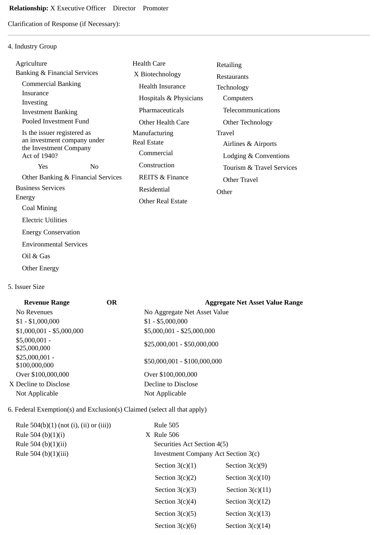Clarification of Response (if Necessary):

# 4. Industry Group

| Agriculture                                           |                                    | <b>Health Care</b>         | Retailing                 |  |
|-------------------------------------------------------|------------------------------------|----------------------------|---------------------------|--|
| Banking & Financial Services                          |                                    | X Biotechnology            | <b>Restaurants</b>        |  |
| <b>Commercial Banking</b>                             |                                    | <b>Health Insurance</b>    | Technology                |  |
| Insurance<br>Investing                                |                                    | Hospitals & Physicians     | Computers                 |  |
| <b>Investment Banking</b>                             |                                    | Pharmaceuticals            | Telecommunications        |  |
| Pooled Investment Fund                                |                                    | Other Health Care          | Other Technology          |  |
| Is the issuer registered as                           |                                    | Manufacturing              | Travel                    |  |
| an investment company under<br>the Investment Company |                                    | <b>Real Estate</b>         | Airlines & Airports       |  |
| Act of 1940?                                          |                                    | Commercial                 | Lodging & Conventions     |  |
| Yes                                                   | $\rm No$                           | Construction               | Tourism & Travel Services |  |
|                                                       | Other Banking & Financial Services | <b>REITS &amp; Finance</b> | Other Travel              |  |
| <b>Business Services</b>                              |                                    | Residential                | Other                     |  |
| Energy                                                |                                    | <b>Other Real Estate</b>   |                           |  |
| Coal Mining                                           |                                    |                            |                           |  |
| <b>Electric Utilities</b>                             |                                    |                            |                           |  |
| <b>Energy Conservation</b>                            |                                    |                            |                           |  |
| <b>Environmental Services</b>                         |                                    |                            |                           |  |
| Oil & Gas                                             |                                    |                            |                           |  |

Other Energy

#### 5. Issuer Size

| <b>Revenue Range</b>             | OR. | <b>Aggregate Net Asset Value Range</b> |
|----------------------------------|-----|----------------------------------------|
| No Revenues                      |     | No Aggregate Net Asset Value           |
| $$1 - $1,000,000$                |     | $$1 - $5,000,000$                      |
| $$1,000,001 - $5,000,000$        |     | \$5,000,001 - \$25,000,000             |
| $$5,000,001 -$<br>\$25,000,000   |     | $$25,000,001 - $50,000,000$            |
| $$25,000,001 -$<br>\$100,000,000 |     | \$50,000,001 - \$100,000,000           |
| Over \$100,000,000               |     | Over \$100,000,000                     |
| X Decline to Disclose            |     | Decline to Disclose                    |
| Not Applicable                   |     | Not Applicable                         |
|                                  |     |                                        |

## 6. Federal Exemption(s) and Exclusion(s) Claimed (select all that apply)

| Rule $504(b)(1)$ (not (i), (ii) or (iii)) | <b>Rule 505</b>                            |                    |
|-------------------------------------------|--------------------------------------------|--------------------|
| Rule 504 (b) $(1)(i)$                     | $X$ Rule 506                               |                    |
| Rule 504 (b) $(1)(ii)$                    | Securities Act Section 4(5)                |                    |
| Rule 504 (b)(1)(iii)                      | <b>Investment Company Act Section 3(c)</b> |                    |
|                                           | Section $3(c)(1)$                          | Section $3(c)(9)$  |
|                                           | Section $3(c)(2)$                          | Section $3(c)(10)$ |
|                                           | Section $3(c)(3)$                          | Section $3(c)(11)$ |
|                                           | Section $3(c)(4)$                          | Section $3(c)(12)$ |
|                                           | Section $3(c)(5)$                          | Section $3(c)(13)$ |
|                                           | Section $3(c)(6)$                          | Section $3(c)(14)$ |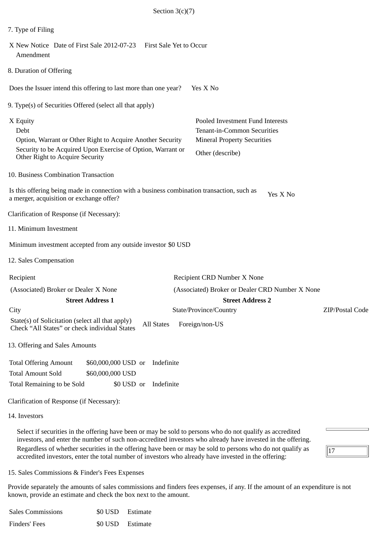| Section $3(c)(7)$                                                                                                                                                                                                        |                                                                                                                           |
|--------------------------------------------------------------------------------------------------------------------------------------------------------------------------------------------------------------------------|---------------------------------------------------------------------------------------------------------------------------|
| 7. Type of Filing                                                                                                                                                                                                        |                                                                                                                           |
| X New Notice Date of First Sale 2012-07-23 First Sale Yet to Occur<br>Amendment                                                                                                                                          |                                                                                                                           |
| 8. Duration of Offering                                                                                                                                                                                                  |                                                                                                                           |
| Does the Issuer intend this offering to last more than one year?                                                                                                                                                         | Yes X No                                                                                                                  |
| 9. Type(s) of Securities Offered (select all that apply)                                                                                                                                                                 |                                                                                                                           |
| X Equity<br>Debt<br>Option, Warrant or Other Right to Acquire Another Security<br>Security to be Acquired Upon Exercise of Option, Warrant or<br>Other Right to Acquire Security                                         | Pooled Investment Fund Interests<br>Tenant-in-Common Securities<br><b>Mineral Property Securities</b><br>Other (describe) |
| 10. Business Combination Transaction                                                                                                                                                                                     |                                                                                                                           |
| Is this offering being made in connection with a business combination transaction, such as<br>a merger, acquisition or exchange offer?                                                                                   | Yes X No                                                                                                                  |
| Clarification of Response (if Necessary):                                                                                                                                                                                |                                                                                                                           |
| 11. Minimum Investment                                                                                                                                                                                                   |                                                                                                                           |
| Minimum investment accepted from any outside investor \$0 USD                                                                                                                                                            |                                                                                                                           |
| 12. Sales Compensation                                                                                                                                                                                                   |                                                                                                                           |
| Recipient                                                                                                                                                                                                                | Recipient CRD Number X None                                                                                               |
| (Associated) Broker or Dealer X None                                                                                                                                                                                     | (Associated) Broker or Dealer CRD Number X None                                                                           |
| <b>Street Address 1</b><br>City                                                                                                                                                                                          | <b>Street Address 2</b><br>State/Province/Country<br>ZIP/Postal Code                                                      |
| State(s) of Solicitation (select all that apply)<br><b>All States</b><br>Check "All States" or check individual States                                                                                                   | Foreign/non-US                                                                                                            |
| 13. Offering and Sales Amounts                                                                                                                                                                                           |                                                                                                                           |
| <b>Total Offering Amount</b><br>Indefinite<br>\$60,000,000 USD or<br><b>Total Amount Sold</b><br>\$60,000,000 USD<br>Indefinite<br>Total Remaining to be Sold<br>\$0 USD or<br>Clarification of Response (if Necessary): |                                                                                                                           |
| 14. Investors                                                                                                                                                                                                            |                                                                                                                           |
| Select if securities in the offering have been or may be sold to persons who do not qualify as accredited<br>investors, and enter the number of such non-accredited investors who already have invested in the offering. |                                                                                                                           |

15. Sales Commissions & Finder's Fees Expenses

Provide separately the amounts of sales commissions and finders fees expenses, if any. If the amount of an expenditure is not known, provide an estimate and check the box next to the amount.

 $\sqrt{17}$ 

Regardless of whether securities in the offering have been or may be sold to persons who do not qualify as

accredited investors, enter the total number of investors who already have invested in the offering:

| <b>Sales Commissions</b> | \$0 USD Estimate |  |
|--------------------------|------------------|--|
| Finders' Fees            | \$0 USD Estimate |  |